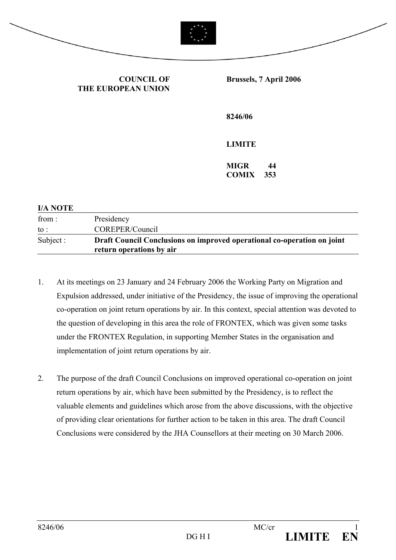

**COUNCIL OF THE EUROPEAN UNION** **Brussels, 7 April 2006** 

**8246/06** 

**LIMITE** 

**MIGR 44 COMIX 353** 

| <b>I/A NOTE</b> |                                                                                                     |
|-----------------|-----------------------------------------------------------------------------------------------------|
| from :          | Presidency                                                                                          |
| to :            | COREPER/Council                                                                                     |
| Subject :       | Draft Council Conclusions on improved operational co-operation on joint<br>return operations by air |

- 1. At its meetings on 23 January and 24 February 2006 the Working Party on Migration and Expulsion addressed, under initiative of the Presidency, the issue of improving the operational co-operation on joint return operations by air. In this context, special attention was devoted to the question of developing in this area the role of FRONTEX, which was given some tasks under the FRONTEX Regulation, in supporting Member States in the organisation and implementation of joint return operations by air.
- 2. The purpose of the draft Council Conclusions on improved operational co-operation on joint return operations by air, which have been submitted by the Presidency, is to reflect the valuable elements and guidelines which arose from the above discussions, with the objective of providing clear orientations for further action to be taken in this area. The draft Council Conclusions were considered by the JHA Counsellors at their meeting on 30 March 2006.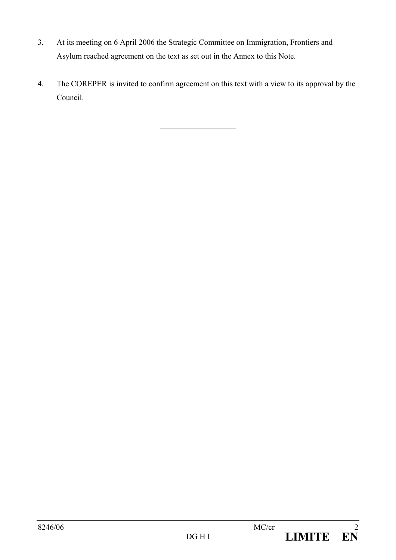- 3. At its meeting on 6 April 2006 the Strategic Committee on Immigration, Frontiers and Asylum reached agreement on the text as set out in the Annex to this Note.
- 4. The COREPER is invited to confirm agreement on this text with a view to its approval by the Council.

 $\overline{\phantom{a}}$  , where  $\overline{\phantom{a}}$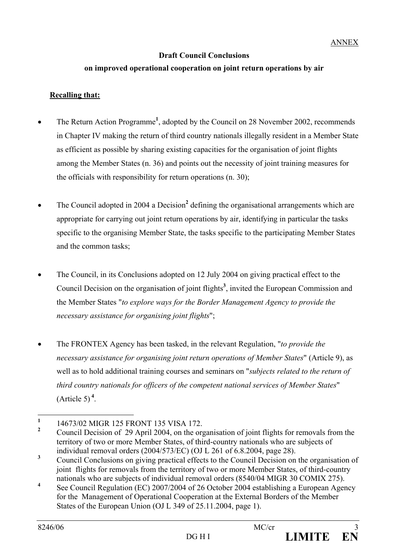## **Draft Council Conclusions**

## **on improved operational cooperation on joint return operations by air**

## **Recalling that:**

- The Return Action Programme<sup>1</sup>, adopted by the Council on 28 November 2002, recommends in Chapter IV making the return of third country nationals illegally resident in a Member State as efficient as possible by sharing existing capacities for the organisation of joint flights among the Member States (n. 36) and points out the necessity of joint training measures for the officials with responsibility for return operations (n. 30);
- The Council adopted in 2004 a Decision<sup>2</sup> defining the organisational arrangements which are appropriate for carrying out joint return operations by air, identifying in particular the tasks specific to the organising Member State, the tasks specific to the participating Member States and the common tasks;
- The Council, in its Conclusions adopted on 12 July 2004 on giving practical effect to the Council Decision on the organisation of joint flights<sup>3</sup>, invited the European Commission and the Member States "*to explore ways for the Border Management Agency to provide the necessary assistance for organising joint flights*";
- The FRONTEX Agency has been tasked, in the relevant Regulation, "*to provide the necessary assistance for organising joint return operations of Member States*" (Article 9), as well as to hold additional training courses and seminars on "*subjects related to the return of third country nationals for officers of the competent national services of Member States*"  $(A<sup>th</sup>$



 **1** 14673/02 MIGR 125 FRONT 135 VISA 172.

**<sup>2</sup>** Council Decision of 29 April 2004, on the organisation of joint flights for removals from the territory of two or more Member States, of third-country nationals who are subjects of individual removal orders (2004/573/EC) (OJ L 261 of 6.8.2004, page 28).

**<sup>3</sup>** Council Conclusions on giving practical effects to the Council Decision on the organisation of joint flights for removals from the territory of two or more Member States, of third-country nationals who are subjects of individual removal orders (8540/04 MIGR 30 COMIX 275).

**<sup>4</sup>** See Council Regulation (EC) 2007/2004 of 26 October 2004 establishing a European Agency for the Management of Operational Cooperation at the External Borders of the Member States of the European Union (OJ L 349 of 25.11.2004, page 1).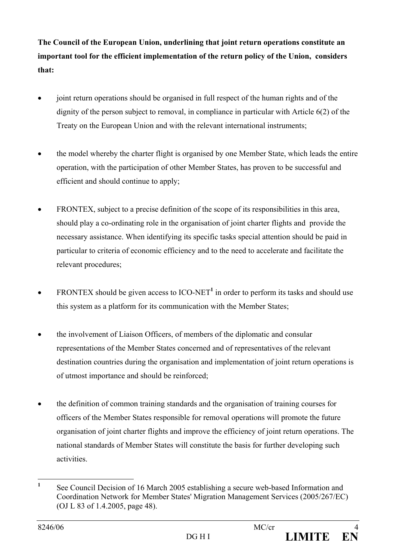**The Council of the European Union, underlining that joint return operations constitute an important tool for the efficient implementation of the return policy of the Union, considers that:** 

- joint return operations should be organised in full respect of the human rights and of the dignity of the person subject to removal, in compliance in particular with Article 6(2) of the Treaty on the European Union and with the relevant international instruments;
- the model whereby the charter flight is organised by one Member State, which leads the entire operation, with the participation of other Member States, has proven to be successful and efficient and should continue to apply;
- FRONTEX, subject to a precise definition of the scope of its responsibilities in this area, should play a co-ordinating role in the organisation of joint charter flights and provide the necessary assistance. When identifying its specific tasks special attention should be paid in particular to criteria of economic efficiency and to the need to accelerate and facilitate the relevant procedures;
- FRONTEX should be given access to  $\text{ICO-NET}^1$  in order to perform its tasks and should use this system as a platform for its communication with the Member States;
- the involvement of Liaison Officers, of members of the diplomatic and consular representations of the Member States concerned and of representatives of the relevant destination countries during the organisation and implementation of joint return operations is of utmost importance and should be reinforced;
- the definition of common training standards and the organisation of training courses for officers of the Member States responsible for removal operations will promote the future organisation of joint charter flights and improve the efficiency of joint return operations. The national standards of Member States will constitute the basis for further developing such activities.

 **1** See Council Decision of 16 March 2005 establishing a secure web-based Information and Coordination Network for Member States' Migration Management Services (2005/267/EC) (OJ L 83 of 1.4.2005, page 48).